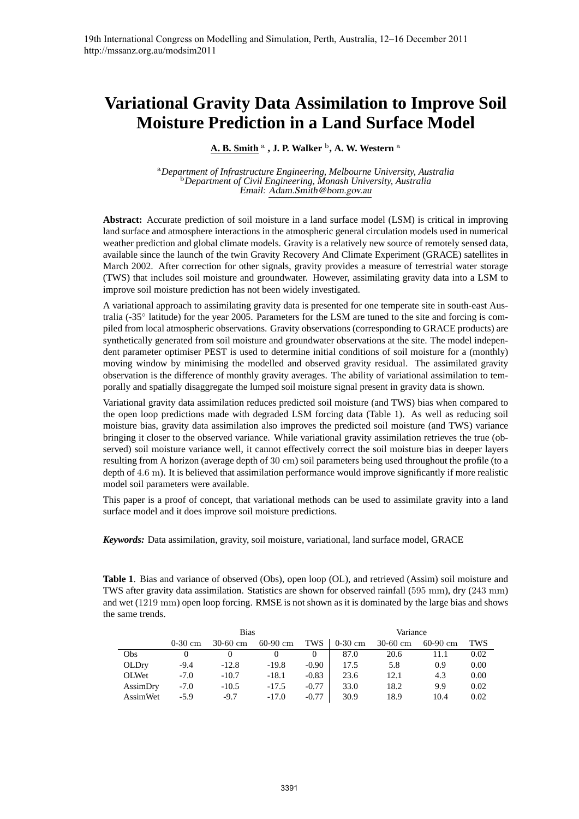# **Variational Gravity Data Assimilation to Improve Soil Moisture Prediction in a Land Surface Model**

 $\underline{\mathbf{A}}$ . **B. Smith**  $^{\mathrm{a}}$  , **J. P.** Walker  $^{\mathrm{b}}$ , **A.** W. Western  $^{\mathrm{a}}$ 

<sup>a</sup>*Department of Infrastructure Engineering, Melbourne University, Australia* <sup>b</sup>*Department of Civil Engineering, Monash University, Australia* Email: Adam.Smith@bom.gov.au

**Abstract:** Accurate prediction of soil moisture in a land surface model (LSM) is critical in improving land surface and atmosphere interactions in the atmospheric general circulation models used in numerical weather prediction and global climate models. Gravity is a relatively new source of remotely sensed data, available since the launch of the twin Gravity Recovery And Climate Experiment (GRACE) satellites in March 2002. After correction for other signals, gravity provides a measure of terrestrial water storage (TWS) that includes soil moisture and groundwater. However, assimilating gravity data into a LSM to improve soil moisture prediction has not been widely investigated.

A variational approach to assimilating gravity data is presented for one temperate site in south-east Australia (-35° latitude) for the year 2005. Parameters for the LSM are tuned to the site and forcing is compiled from local atmospheric observations. Gravity observations (corresponding to GRACE products) are synthetically generated from soil moisture and groundwater observations at the site. The model independent parameter optimiser PEST is used to determine initial conditions of soil moisture for a (monthly) moving window by minimising the modelled and observed gravity residual. The assimilated gravity observation is the difference of monthly gravity averages. The ability of variational assimilation to temporally and spatially disaggregate the lumped soil moisture signal present in gravity data is shown.

Variational gravity data assimilation reduces predicted soil moisture (and TWS) bias when compared to the open loop predictions made with degraded LSM forcing data (Table 1). As well as reducing soil moisture bias, gravity data assimilation also improves the predicted soil moisture (and TWS) variance bringing it closer to the observed variance. While variational gravity assimilation retrieves the true (observed) soil moisture variance well, it cannot effectively correct the soil moisture bias in deeper layers resulting from A horizon (average depth of 30 cm) soil parameters being used throughout the profile (to a depth of 4.6 m). It is believed that assimilation performance would improve significantly if more realistic model soil parameters were available.

This paper is a proof of concept, that variational methods can be used to assimilate gravity into a land surface model and it does improve soil moisture predictions.

*Keywords:* Data assimilation, gravity, soil moisture, variational, land surface model, GRACE

**Table 1**. Bias and variance of observed (Obs), open loop (OL), and retrieved (Assim) soil moisture and TWS after gravity data assimilation. Statistics are shown for observed rainfall (595 mm), dry (243 mm) and wet (1219 mm) open loop forcing. RMSE is not shown as it is dominated by the large bias and shows the same trends.

|              | <b>Bias</b> |            |            |         | Variance  |            |            |      |
|--------------|-------------|------------|------------|---------|-----------|------------|------------|------|
|              | $0-30$ cm   | $30-60$ cm | $60-90$ cm | TWS     | $0-30$ cm | $30-60$ cm | $60-90$ cm | TWS  |
| Obs          |             |            |            |         | 87.0      | 20.6       | 11.1       | 0.02 |
| OLDry        | $-9.4$      | $-12.8$    | $-19.8$    | $-0.90$ | 17.5      | 5.8        | 0.9        | 0.00 |
| <b>OLWet</b> | $-7.0$      | $-10.7$    | $-18.1$    | $-0.83$ | 23.6      | 12.1       | 4.3        | 0.00 |
| AssimDry     | $-7.0$      | $-10.5$    | $-17.5$    | $-0.77$ | 33.0      | 18.2       | 9.9        | 0.02 |
| AssimWet     | $-5.9$      | $-9.7$     | $-17.0$    | $-0.77$ | 30.9      | 18.9       | 10.4       | 0.02 |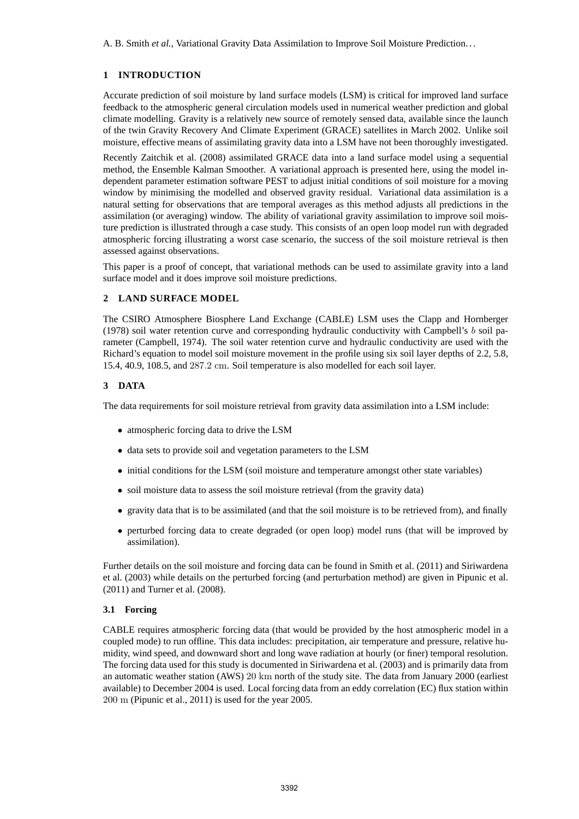A. B. Smith *et al.*, Variational Gravity Data Assimilation to Improve Soil Moisture Prediction. . .

## **1 INTRODUCTION**

Accurate prediction of soil moisture by land surface models (LSM) is critical for improved land surface feedback to the atmospheric general circulation models used in numerical weather prediction and global climate modelling. Gravity is a relatively new source of remotely sensed data, available since the launch of the twin Gravity Recovery And Climate Experiment (GRACE) satellites in March 2002. Unlike soil moisture, effective means of assimilating gravity data into a LSM have not been thoroughly investigated.

Recently Zaitchik et al. (2008) assimilated GRACE data into a land surface model using a sequential method, the Ensemble Kalman Smoother. A variational approach is presented here, using the model independent parameter estimation software PEST to adjust initial conditions of soil moisture for a moving window by minimising the modelled and observed gravity residual. Variational data assimilation is a natural setting for observations that are temporal averages as this method adjusts all predictions in the assimilation (or averaging) window. The ability of variational gravity assimilation to improve soil moisture prediction is illustrated through a case study. This consists of an open loop model run with degraded atmospheric forcing illustrating a worst case scenario, the success of the soil moisture retrieval is then assessed against observations.

This paper is a proof of concept, that variational methods can be used to assimilate gravity into a land surface model and it does improve soil moisture predictions.

### **2 LAND SURFACE MODEL**

The CSIRO Atmosphere Biosphere Land Exchange (CABLE) LSM uses the Clapp and Hornberger (1978) soil water retention curve and corresponding hydraulic conductivity with Campbell's  $b$  soil parameter (Campbell, 1974). The soil water retention curve and hydraulic conductivity are used with the Richard's equation to model soil moisture movement in the profile using six soil layer depths of 2.2, 5.8, 15.4, 40.9, 108.5, and 287.2 cm. Soil temperature is also modelled for each soil layer.

### **3 DATA**

The data requirements for soil moisture retrieval from gravity data assimilation into a LSM include:

- atmospheric forcing data to drive the LSM
- data sets to provide soil and vegetation parameters to the LSM
- initial conditions for the LSM (soil moisture and temperature amongst other state variables)
- soil moisture data to assess the soil moisture retrieval (from the gravity data)
- gravity data that is to be assimilated (and that the soil moisture is to be retrieved from), and finally
- perturbed forcing data to create degraded (or open loop) model runs (that will be improved by assimilation).

Further details on the soil moisture and forcing data can be found in Smith et al. (2011) and Siriwardena et al. (2003) while details on the perturbed forcing (and perturbation method) are given in Pipunic et al. (2011) and Turner et al. (2008).

### **3.1 Forcing**

CABLE requires atmospheric forcing data (that would be provided by the host atmospheric model in a coupled mode) to run offline. This data includes: precipitation, air temperature and pressure, relative humidity, wind speed, and downward short and long wave radiation at hourly (or finer) temporal resolution. The forcing data used for this study is documented in Siriwardena et al. (2003) and is primarily data from an automatic weather station (AWS) 20 km north of the study site. The data from January 2000 (earliest available) to December 2004 is used. Local forcing data from an eddy correlation (EC) flux station within 200 m (Pipunic et al., 2011) is used for the year 2005.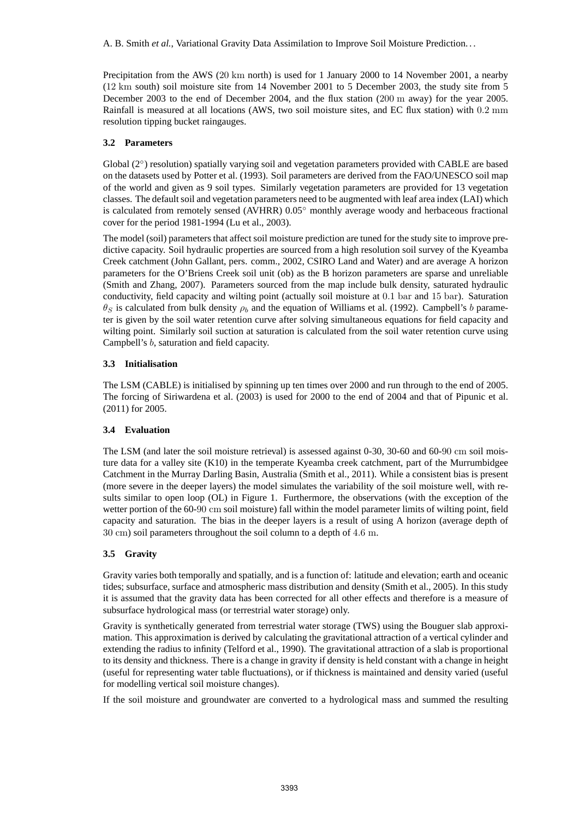Precipitation from the AWS (20 km north) is used for 1 January 2000 to 14 November 2001, a nearby (12 km south) soil moisture site from 14 November 2001 to 5 December 2003, the study site from 5 December 2003 to the end of December 2004, and the flux station (200 m away) for the year 2005. Rainfall is measured at all locations (AWS, two soil moisture sites, and EC flux station) with 0.2 mm resolution tipping bucket raingauges.

# **3.2 Parameters**

Global (2°) resolution) spatially varying soil and vegetation parameters provided with CABLE are based on the datasets used by Potter et al. (1993). Soil parameters are derived from the FAO/UNESCO soil map of the world and given as 9 soil types. Similarly vegetation parameters are provided for 13 vegetation classes. The default soil and vegetation parameters need to be augmented with leaf area index (LAI) which is calculated from remotely sensed (AVHRR) 0.05◦ monthly average woody and herbaceous fractional cover for the period 1981-1994 (Lu et al., 2003).

The model (soil) parameters that affect soil moisture prediction are tuned for the study site to improve predictive capacity. Soil hydraulic properties are sourced from a high resolution soil survey of the Kyeamba Creek catchment (John Gallant, pers. comm., 2002, CSIRO Land and Water) and are average A horizon parameters for the O'Briens Creek soil unit (ob) as the B horizon parameters are sparse and unreliable (Smith and Zhang, 2007). Parameters sourced from the map include bulk density, saturated hydraulic conductivity, field capacity and wilting point (actually soil moisture at 0.1 bar and 15 bar). Saturation  $\theta_S$  is calculated from bulk density  $\rho_b$  and the equation of Williams et al. (1992). Campbell's b parameter is given by the soil water retention curve after solving simultaneous equations for field capacity and wilting point. Similarly soil suction at saturation is calculated from the soil water retention curve using Campbell's b, saturation and field capacity.

# **3.3 Initialisation**

The LSM (CABLE) is initialised by spinning up ten times over 2000 and run through to the end of 2005. The forcing of Siriwardena et al. (2003) is used for 2000 to the end of 2004 and that of Pipunic et al. (2011) for 2005.

# **3.4 Evaluation**

The LSM (and later the soil moisture retrieval) is assessed against 0-30, 30-60 and 60-90 cm soil moisture data for a valley site (K10) in the temperate Kyeamba creek catchment, part of the Murrumbidgee Catchment in the Murray Darling Basin, Australia (Smith et al., 2011). While a consistent bias is present (more severe in the deeper layers) the model simulates the variability of the soil moisture well, with results similar to open loop (OL) in Figure 1. Furthermore, the observations (with the exception of the wetter portion of the 60-90 cm soil moisture) fall within the model parameter limits of wilting point, field capacity and saturation. The bias in the deeper layers is a result of using A horizon (average depth of 30 cm) soil parameters throughout the soil column to a depth of 4.6 m.

# **3.5 Gravity**

Gravity varies both temporally and spatially, and is a function of: latitude and elevation; earth and oceanic tides; subsurface, surface and atmospheric mass distribution and density (Smith et al., 2005). In this study it is assumed that the gravity data has been corrected for all other effects and therefore is a measure of subsurface hydrological mass (or terrestrial water storage) only.

Gravity is synthetically generated from terrestrial water storage (TWS) using the Bouguer slab approximation. This approximation is derived by calculating the gravitational attraction of a vertical cylinder and extending the radius to infinity (Telford et al., 1990). The gravitational attraction of a slab is proportional to its density and thickness. There is a change in gravity if density is held constant with a change in height (useful for representing water table fluctuations), or if thickness is maintained and density varied (useful for modelling vertical soil moisture changes).

If the soil moisture and groundwater are converted to a hydrological mass and summed the resulting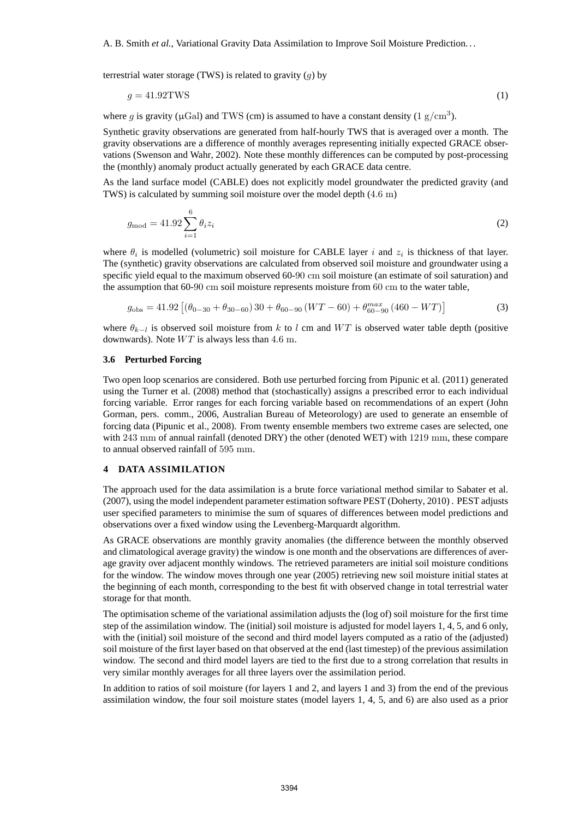A. B. Smith *et al.*, Variational Gravity Data Assimilation to Improve Soil Moisture Prediction. . .

terrestrial water storage (TWS) is related to gravity  $(q)$  by

$$
g = 41.92 \text{TWS} \tag{1}
$$

where g is gravity ( $\mu$ Gal) and TWS (cm) is assumed to have a constant density (1 g/cm<sup>3</sup>).

Synthetic gravity observations are generated from half-hourly TWS that is averaged over a month. The gravity observations are a difference of monthly averages representing initially expected GRACE observations (Swenson and Wahr, 2002). Note these monthly differences can be computed by post-processing the (monthly) anomaly product actually generated by each GRACE data centre.

As the land surface model (CABLE) does not explicitly model groundwater the predicted gravity (and TWS) is calculated by summing soil moisture over the model depth (4.6 m)

$$
g_{\text{mod}} = 41.92 \sum_{i=1}^{6} \theta_i z_i \tag{2}
$$

where  $\theta_i$  is modelled (volumetric) soil moisture for CABLE layer i and  $z_i$  is thickness of that layer. The (synthetic) gravity observations are calculated from observed soil moisture and groundwater using a specific yield equal to the maximum observed 60-90 cm soil moisture (an estimate of soil saturation) and the assumption that 60-90 cm soil moisture represents moisture from 60 cm to the water table,

$$
g_{\text{obs}} = 41.92 \left[ \left( \theta_{0-30} + \theta_{30-60} \right) 30 + \theta_{60-90} \left( WT - 60 \right) + \theta_{60-90}^{max} \left( 460 - WT \right) \right] \tag{3}
$$

where  $\theta_{k-l}$  is observed soil moisture from k to l cm and WT is observed water table depth (positive downwards). Note  $WT$  is always less than 4.6 m.

#### **3.6 Perturbed Forcing**

Two open loop scenarios are considered. Both use perturbed forcing from Pipunic et al. (2011) generated using the Turner et al. (2008) method that (stochastically) assigns a prescribed error to each individual forcing variable. Error ranges for each forcing variable based on recommendations of an expert (John Gorman, pers. comm., 2006, Australian Bureau of Meteorology) are used to generate an ensemble of forcing data (Pipunic et al., 2008). From twenty ensemble members two extreme cases are selected, one with 243 mm of annual rainfall (denoted DRY) the other (denoted WET) with 1219 mm, these compare to annual observed rainfall of 595 mm.

#### **4 DATA ASSIMILATION**

The approach used for the data assimilation is a brute force variational method similar to Sabater et al. (2007), using the model independent parameter estimation software PEST (Doherty, 2010) . PEST adjusts user specified parameters to minimise the sum of squares of differences between model predictions and observations over a fixed window using the Levenberg-Marquardt algorithm.

As GRACE observations are monthly gravity anomalies (the difference between the monthly observed and climatological average gravity) the window is one month and the observations are differences of average gravity over adjacent monthly windows. The retrieved parameters are initial soil moisture conditions for the window. The window moves through one year (2005) retrieving new soil moisture initial states at the beginning of each month, corresponding to the best fit with observed change in total terrestrial water storage for that month.

The optimisation scheme of the variational assimilation adjusts the (log of) soil moisture for the first time step of the assimilation window. The (initial) soil moisture is adjusted for model layers 1, 4, 5, and 6 only, with the (initial) soil moisture of the second and third model layers computed as a ratio of the (adjusted) soil moisture of the first layer based on that observed at the end (last timestep) of the previous assimilation window. The second and third model layers are tied to the first due to a strong correlation that results in very similar monthly averages for all three layers over the assimilation period.

In addition to ratios of soil moisture (for layers 1 and 2, and layers 1 and 3) from the end of the previous assimilation window, the four soil moisture states (model layers 1, 4, 5, and 6) are also used as a prior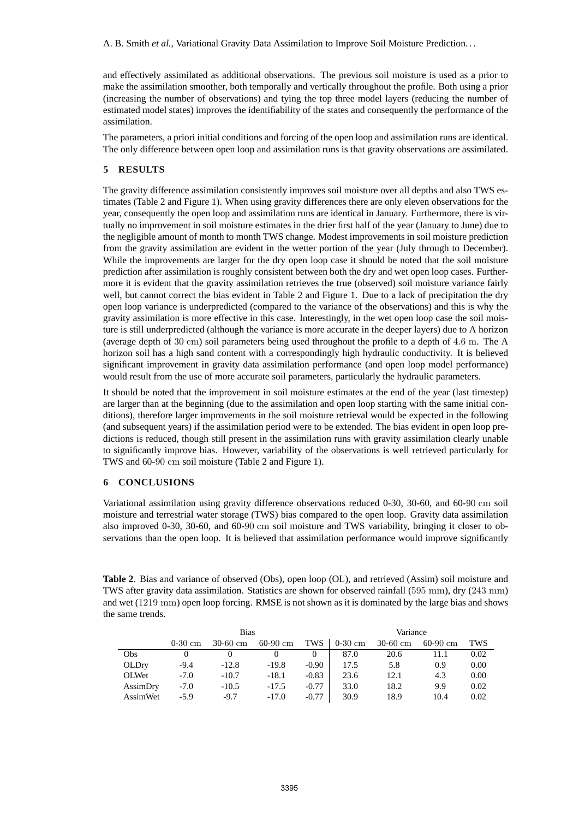and effectively assimilated as additional observations. The previous soil moisture is used as a prior to make the assimilation smoother, both temporally and vertically throughout the profile. Both using a prior (increasing the number of observations) and tying the top three model layers (reducing the number of estimated model states) improves the identifiability of the states and consequently the performance of the assimilation.

The parameters, a priori initial conditions and forcing of the open loop and assimilation runs are identical. The only difference between open loop and assimilation runs is that gravity observations are assimilated.

### **5 RESULTS**

The gravity difference assimilation consistently improves soil moisture over all depths and also TWS estimates (Table 2 and Figure 1). When using gravity differences there are only eleven observations for the year, consequently the open loop and assimilation runs are identical in January. Furthermore, there is virtually no improvement in soil moisture estimates in the drier first half of the year (January to June) due to the negligible amount of month to month TWS change. Modest improvements in soil moisture prediction from the gravity assimilation are evident in the wetter portion of the year (July through to December). While the improvements are larger for the dry open loop case it should be noted that the soil moisture prediction after assimilation is roughly consistent between both the dry and wet open loop cases. Furthermore it is evident that the gravity assimilation retrieves the true (observed) soil moisture variance fairly well, but cannot correct the bias evident in Table 2 and Figure 1. Due to a lack of precipitation the dry open loop variance is underpredicted (compared to the variance of the observations) and this is why the gravity assimilation is more effective in this case. Interestingly, in the wet open loop case the soil moisture is still underpredicted (although the variance is more accurate in the deeper layers) due to A horizon (average depth of 30 cm) soil parameters being used throughout the profile to a depth of 4.6 m. The A horizon soil has a high sand content with a correspondingly high hydraulic conductivity. It is believed significant improvement in gravity data assimilation performance (and open loop model performance) would result from the use of more accurate soil parameters, particularly the hydraulic parameters.

It should be noted that the improvement in soil moisture estimates at the end of the year (last timestep) are larger than at the beginning (due to the assimilation and open loop starting with the same initial conditions), therefore larger improvements in the soil moisture retrieval would be expected in the following (and subsequent years) if the assimilation period were to be extended. The bias evident in open loop predictions is reduced, though still present in the assimilation runs with gravity assimilation clearly unable to significantly improve bias. However, variability of the observations is well retrieved particularly for TWS and 60-90 cm soil moisture (Table 2 and Figure 1).

### **6 CONCLUSIONS**

Variational assimilation using gravity difference observations reduced 0-30, 30-60, and 60-90 cm soil moisture and terrestrial water storage (TWS) bias compared to the open loop. Gravity data assimilation also improved 0-30, 30-60, and 60-90 cm soil moisture and TWS variability, bringing it closer to observations than the open loop. It is believed that assimilation performance would improve significantly

**Table 2**. Bias and variance of observed (Obs), open loop (OL), and retrieved (Assim) soil moisture and TWS after gravity data assimilation. Statistics are shown for observed rainfall (595 mm), dry (243 mm) and wet (1219 mm) open loop forcing. RMSE is not shown as it is dominated by the large bias and shows the same trends.

|              | <b>Bias</b> |            |            |         | Variance  |            |            |      |
|--------------|-------------|------------|------------|---------|-----------|------------|------------|------|
|              | $0-30$ cm   | $30-60$ cm | $60-90$ cm | TWS     | $0-30$ cm | $30-60$ cm | $60-90$ cm | TWS  |
| Obs          |             | 0          |            |         | 87.0      | 20.6       | 11.1       | 0.02 |
| OLDry        | $-9.4$      | $-12.8$    | $-19.8$    | $-0.90$ | 17.5      | 5.8        | 0.9        | 0.00 |
| <b>OLWet</b> | $-7.0$      | $-10.7$    | $-18.1$    | $-0.83$ | 23.6      | 12.1       | 4.3        | 0.00 |
| AssimDry     | $-7.0$      | $-10.5$    | $-17.5$    | $-0.77$ | 33.0      | 18.2       | 9.9        | 0.02 |
| AssimWet     | $-5.9$      | $-9.7$     | $-17.0$    | $-0.77$ | 30.9      | 18.9       | 10.4       | 0.02 |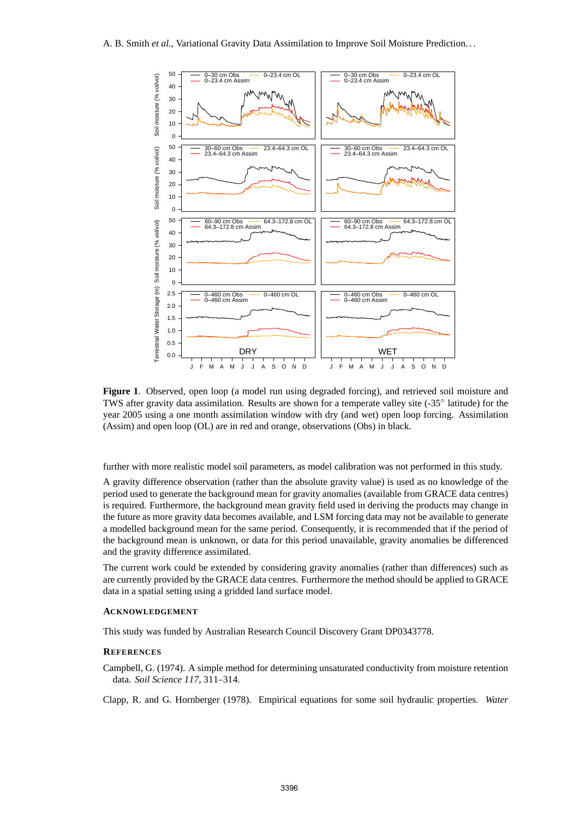

**Figure 1**. Observed, open loop (a model run using degraded forcing), and retrieved soil moisture and TWS after gravity data assimilation. Results are shown for a temperate valley site (-35° latitude) for the year 2005 using a one month assimilation window with dry (and wet) open loop forcing. Assimilation (Assim) and open loop (OL) are in red and orange, observations (Obs) in black.

further with more realistic model soil parameters, as model calibration was not performed in this study.

A gravity difference observation (rather than the absolute gravity value) is used as no knowledge of the period used to generate the background mean for gravity anomalies (available from GRACE data centres) is required. Furthermore, the background mean gravity field used in deriving the products may change in the future as more gravity data becomes available, and LSM forcing data may not be available to generate a modelled background mean for the same period. Consequently, it is recommended that if the period of the background mean is unknown, or data for this period unavailable, gravity anomalies be differenced and the gravity difference assimilated.

The current work could be extended by considering gravity anomalies (rather than differences) such as are currently provided by the GRACE data centres. Furthermore the method should be applied to GRACE data in a spatial setting using a gridded land surface model.

## **ACKNOWLEDGEMENT**

This study was funded by Australian Research Council Discovery Grant DP0343778.

#### **REFERENCES**

Campbell, G. (1974). A simple method for determining unsaturated conductivity from moisture retention data. *Soil Science 117*, 311–314.

Clapp, R. and G. Hornberger (1978). Empirical equations for some soil hydraulic properties. *Water*